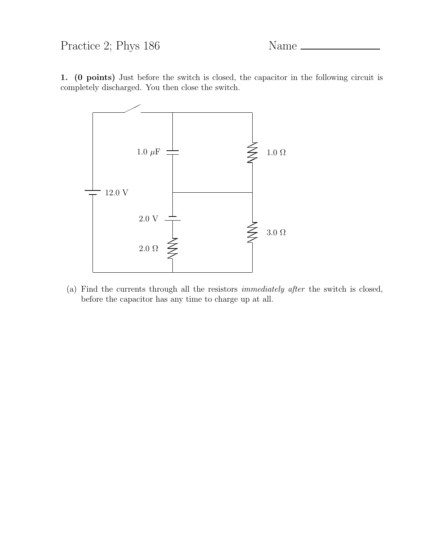## Practice 2; Phys 186 Name \_

1. (0 points) Just before the switch is closed, the capacitor in the following circuit is completely discharged. You then close the switch.



(a) Find the currents through all the resistors immediately after the switch is closed, before the capacitor has any time to charge up at all.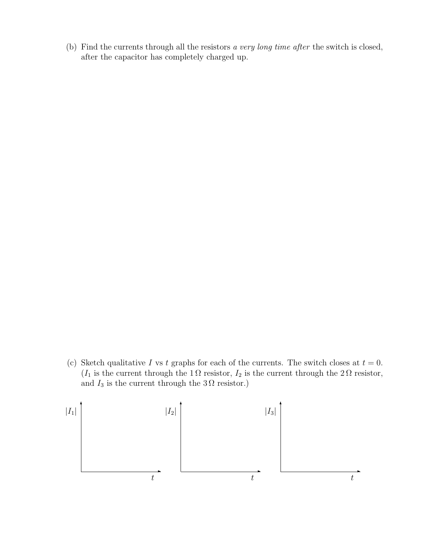(b) Find the currents through all the resistors a very long time after the switch is closed, after the capacitor has completely charged up.

(c) Sketch qualitative I vs t graphs for each of the currents. The switch closes at  $t = 0$ .  $(I_1$  is the current through the  $1\,\Omega$  resistor,  $I_2$  is the current through the  $2\,\Omega$  resistor, and  $I_3$  is the current through the  $3\Omega$  resistor.)

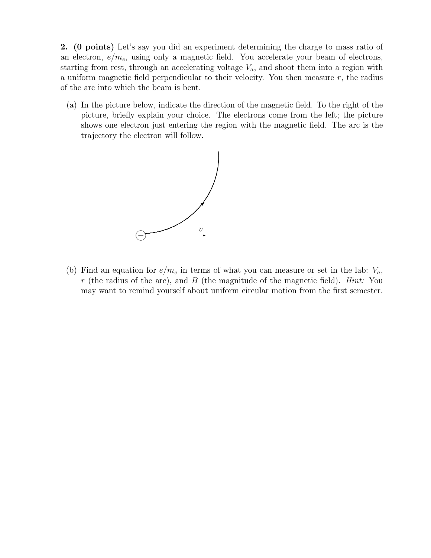2. (0 points) Let's say you did an experiment determining the charge to mass ratio of an electron,  $e/m_e$ , using only a magnetic field. You accelerate your beam of electrons, starting from rest, through an accelerating voltage  $V_a$ , and shoot them into a region with a uniform magnetic field perpendicular to their velocity. You then measure  $r$ , the radius of the arc into which the beam is bent.

(a) In the picture below, indicate the direction of the magnetic field. To the right of the picture, briefly explain your choice. The electrons come from the left; the picture shows one electron just entering the region with the magnetic field. The arc is the trajectory the electron will follow.



(b) Find an equation for  $e/m_e$  in terms of what you can measure or set in the lab:  $V_a$ , r (the radius of the arc), and B (the magnitude of the magnetic field). Hint: You may want to remind yourself about uniform circular motion from the first semester.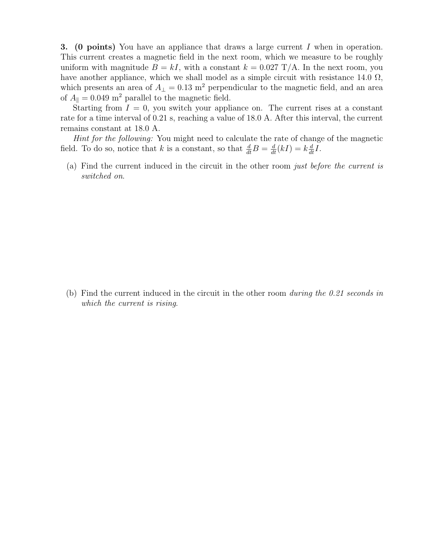3. (0 points) You have an appliance that draws a large current I when in operation. This current creates a magnetic field in the next room, which we measure to be roughly uniform with magnitude  $B = kI$ , with a constant  $k = 0.027$  T/A. In the next room, you have another appliance, which we shall model as a simple circuit with resistance 14.0  $\Omega$ , which presents an area of  $A_{\perp} = 0.13$  m<sup>2</sup> perpendicular to the magnetic field, and an area of  $A_{\parallel} = 0.049$  m<sup>2</sup> parallel to the magnetic field.

Starting from  $I = 0$ , you switch your appliance on. The current rises at a constant rate for a time interval of 0.21 s, reaching a value of 18.0 A. After this interval, the current remains constant at 18.0 A.

Hint for the following: You might need to calculate the rate of change of the magnetic field. To do so, notice that k is a constant, so that  $\frac{d}{dt}B = \frac{d}{dt}(kI) = k\frac{d}{dt}I$ .

(a) Find the current induced in the circuit in the other room just before the current is switched on.

(b) Find the current induced in the circuit in the other room during the 0.21 seconds in which the current is rising.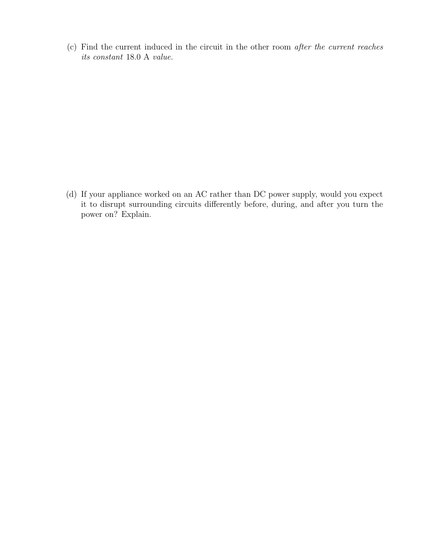(c) Find the current induced in the circuit in the other room after the current reaches its constant 18.0 A value.

(d) If your appliance worked on an AC rather than DC power supply, would you expect it to disrupt surrounding circuits differently before, during, and after you turn the power on? Explain.